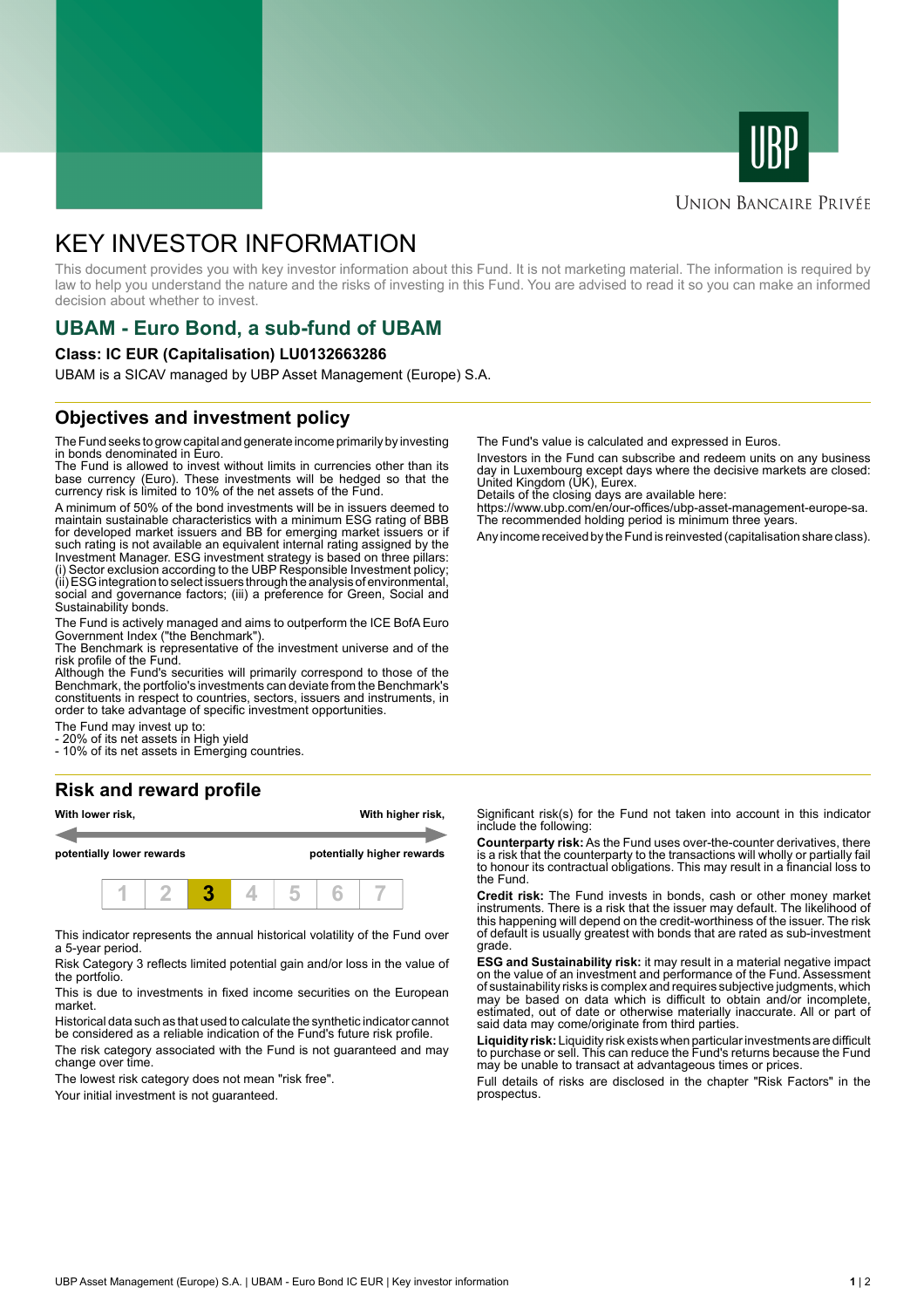



### **UNION BANCAIRE PRIVÉE**

# KEY INVESTOR INFORMATION

This document provides you with key investor information about this Fund. It is not marketing material. The information is required by law to help you understand the nature and the risks of investing in this Fund. You are advised to read it so you can make an informed decision about whether to invest.

# **UBAM - Euro Bond, a sub-fund of UBAM**

#### **Class: IC EUR (Capitalisation) LU0132663286**

UBAM is a SICAV managed by UBP Asset Management (Europe) S.A.

## **Objectives and investment policy**

The Fund seeks to grow capital and generate income primarily by investing in bonds denominated in Euro.

The Fund is allowed to invest without limits in currencies other than its base currency (Euro). These investments will be hedged so that the currency risk is limited to 10% of the net assets of the Fund.

A minimum of 50% of the bond investments will be in issuers deemed to maintain sustainable characteristics with a minimum ESG rating of BBB for developed market issuers and BB for emerging market issuers or if such rating is not available an equivalent internal rating assigned by the Investment Manager. ESG investment strategy is based on three pillars: (i) Sector exclusion according to the UBP Responsible Investment policy; (ii) ESG integration to select issuers through the analysis of environmental, social and governance factors; (iii) a preference for Green, Social and Sustainability bonds.

The Fund is actively managed and aims to outperform the ICE BofA Euro Government Index ("the Benchmark").

The Benchmark is representative of the investment universe and of the risk profile of the Fund.

Although the Fund's securities will primarily correspond to those of the Benchmark, the portfolio's investments can deviate from the Benchmark's constituents in respect to countries, sectors, issuers and instruments, in order to take advantage of specific investment opportunities.

The Fund may invest up to:

- 20% of its net assets in High yield

- 10% of its net assets in Emerging countries.

## **Risk and reward profile**



This indicator represents the annual historical volatility of the Fund over a 5-year period.

Risk Category 3 reflects limited potential gain and/or loss in the value of the portfolio.

This is due to investments in fixed income securities on the European market.

Historical data such as that used to calculate the synthetic indicator cannot be considered as a reliable indication of the Fund's future risk profile. The risk category associated with the Fund is not guaranteed and may change over time.

The lowest risk category does not mean "risk free".

Your initial investment is not quaranteed.

The Fund's value is calculated and expressed in Euros.

Investors in the Fund can subscribe and redeem units on any business day in Luxembourg except days where the decisive markets are closed: United Kingdom (UK), Eurex.

Details of the closing days are available here:

https://www.ubp.com/en/our-offices/ubp-asset-management-europe-sa. The recommended holding period is minimum three years.

Any income received by the Fund is reinvested (capitalisation share class).

Significant risk(s) for the Fund not taken into account in this indicator include the following:

**Counterparty risk:** As the Fund uses over-the-counter derivatives, there is a risk that the counterparty to the transactions will wholly or partially fail to honour its contractual obligations. This may result in a financial loss to the Fund.

**Credit risk:** The Fund invests in bonds, cash or other money market instruments. There is a risk that the issuer may default. The likelihood of this happening will depend on the credit-worthiness of the issuer. The risk of default is usually greatest with bonds that are rated as sub-investment grade.

**ESG and Sustainability risk:** it may result in a material negative impact on the value of an investment and performance of the Fund. Assessment of sustainability risks is complex and requires subjective judgments, which may be based on data which is difficult to obtain and/or incomplete, estimated, out of date or otherwise materially inaccurate. All or part of said data may come/originate from third parties.

**Liquidity risk:** Liquidity risk exists when particular investments are difficult to purchase or sell. This can reduce the Fund's returns because the Fund may be unable to transact at advantageous times or prices.

Full details of risks are disclosed in the chapter "Risk Factors" in the prospectus.